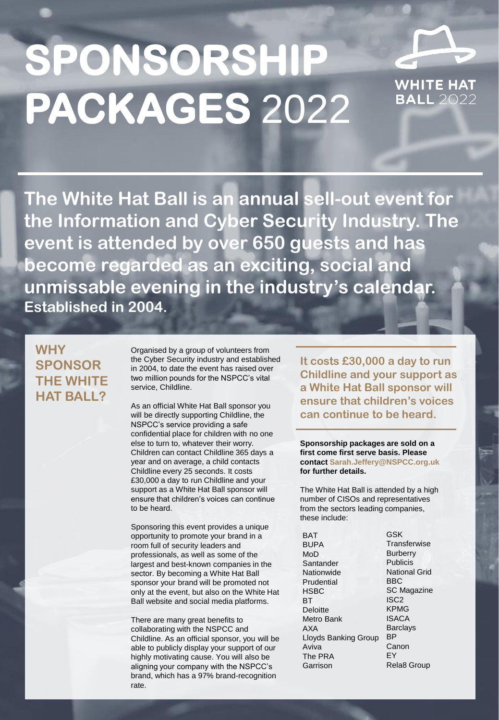# **SPONSORSHIP PACKAGES** 2022

**WHITE HAT** BALL 2022

**The White Hat Ball is an annual sell-out event for the Information and Cyber Security Industry. The event is attended by over 650 guests and has become regarded as an exciting, social and unmissable evening in the industry's calendar. Established in 2004.**

## **WHY SPONSOR THE WHITE HAT BALL?**

Organised by a group of volunteers from the Cyber Security industry and established in 2004, to date the event has raised over two million pounds for the NSPCC's vital service, Childline.

As an official White Hat Ball sponsor you will be directly supporting Childline, the NSPCC's service providing a safe confidential place for children with no one else to turn to, whatever their worry. Children can contact Childline 365 days a year and on average, a child contacts Childline every 25 seconds. It costs £30,000 a day to run Childline and your support as a White Hat Ball sponsor will ensure that children's voices can continue to be heard.

Sponsoring this event provides a unique opportunity to promote your brand in a room full of security leaders and professionals, as well as some of the largest and best-known companies in the sector. By becoming a White Hat Ball sponsor your brand will be promoted not only at the event, but also on the White Hat Ball website and social media platforms.

There are many great benefits to collaborating with the NSPCC and Childline. As an official sponsor, you will be able to publicly display your support of our highly motivating cause. You will also be aligning your company with the NSPCC's brand, which has a 97% brand-recognition rate.

**It costs £30,000 a day to run Childline and your support as a White Hat Ball sponsor will ensure that children's voices can continue to be heard.** 

**Sponsorship packages are sold on a first come first serve basis. Please contact Sarah.Jeffery@NSPCC.org.uk for further details.** 

The White Hat Ball is attended by a high number of CISOs and representatives from the sectors leading companies, these include:

BAT BUPA MoD **Santander Nationwide** Prudential **HSBC BT Deloitte** Metro Bank AXA Lloyds Banking Group Aviva The PRA Garrison

GSK **Transferwise Burberry** Publicis National Grid BBC SC Magazine ISC2 KPMG ISACA **Barclays** BP Canon EY Rela8 Group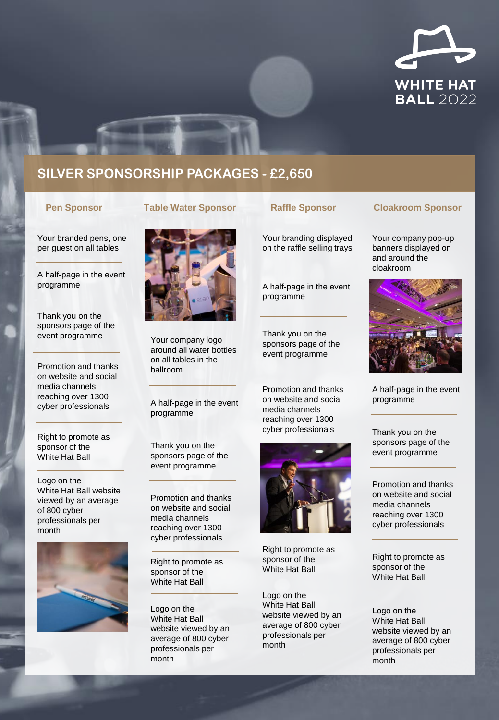

## **SILVER SPONSORSHIP PACKAGES - £2,650**

Your branded pens, one per guest on all tables

A half-page in the event programme

Thank you on the sponsors page of the event programme

Promotion and thanks on website and social media channels reaching over 1300 cyber professionals

Right to promote as sponsor of the White Hat Ball

Logo on the White Hat Ball website viewed by an average of 800 cyber professionals per month





Your company logo around all water bottles on all tables in the ballroom

A half-page in the event programme

Thank you on the sponsors page of the event programme

Promotion and thanks on website and social media channels reaching over 1300 cyber professionals

Right to promote as sponsor of the White Hat Ball

Logo on the White Hat Ball website viewed by an average of 800 cyber professionals per month

Your branding displayed on the raffle selling trays

A half-page in the event programme

Thank you on the sponsors page of the event programme

Promotion and thanks on website and social media channels reaching over 1300 cyber professionals



Right to promote as sponsor of the White Hat Ball

Logo on the White Hat Ball website viewed by an average of 800 cyber professionals per month

### **Pen Sponsor Table Water Sponsor Raffle Sponsor Cloakroom Sponsor**

Your company pop-up banners displayed on and around the cloakroom



A half-page in the event programme

Thank you on the sponsors page of the event programme

Promotion and thanks on website and social media channels reaching over 1300 cyber professionals

Right to promote as sponsor of the White Hat Ball

Logo on the White Hat Ball website viewed by an average of 800 cyber professionals per month